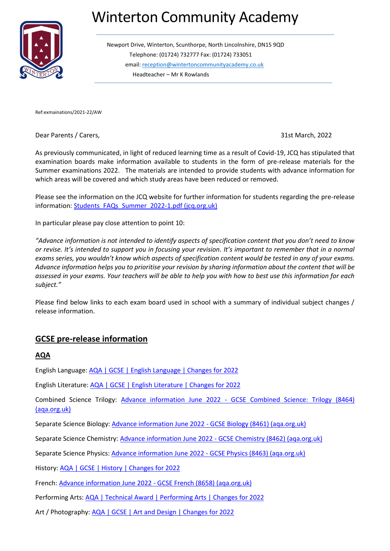# Winterton Community Academy



Newport Drive, Winterton, Scunthorpe, North Lincolnshire, DN15 9QD Telephone: (01724) 732777 Fax: (01724) 733051 email: [reception@wintertoncommunityacademy.co.uk](mailto:reception@wintertoncommunityacademy.co.uk) Headteacher – Mr K Rowlands

Ref:exmainations/2021-22/AW

Dear Parents / Carers, 31st March, 2022

As previously communicated, in light of reduced learning time as a result of Covid-19, JCQ has stipulated that examination boards make information available to students in the form of pre-release materials for the Summer examinations 2022. The materials are intended to provide students with advance information for which areas will be covered and which study areas have been reduced or removed.

Please see the information on the JCQ website for further information for students regarding the pre-release information[: Students\\_FAQs\\_Summer\\_2022-1.pdf \(jcq.org.uk\)](https://www.jcq.org.uk/wp-content/uploads/2022/03/Students_FAQs_Summer_2022-1.pdf)

In particular please pay close attention to point 10:

*"Advance information is not intended to identify aspects of specification content that you don't need to know or revise. It's intended to support you in focusing your revision. It's important to remember that in a normal exams series, you wouldn't know which aspects of specification content would be tested in any of your exams. Advance information helps you to prioritise your revision by sharing information about the content that will be assessed in your exams. Your teachers will be able to help you with how to best use this information for each subject."*

Please find below links to each exam board used in school with a summary of individual subject changes / release information.

## **GCSE pre-release information**

#### **AQA**

English Language: [AQA | GCSE | English Language | Changes for 2022](https://www.aqa.org.uk/subjects/english/gcse/english-language-8700/changes-for-2022?msclkid=5b05195bac1811ecabc00d30e4bac1af)

English Literature[: AQA | GCSE | English Literature | Changes for 2022](https://www.aqa.org.uk/subjects/english/gcse/english-literature-8702/changes-for-2022)

Combined Science Trilogy: Advance information June 2022 - [GCSE Combined Science: Trilogy \(8464\)](https://filestore.aqa.org.uk/content/summer-2022/AQA-8464-AI-22.PDF)  [\(aqa.org.uk\)](https://filestore.aqa.org.uk/content/summer-2022/AQA-8464-AI-22.PDF)

Separate Science Biology[: Advance information June 2022 -](https://filestore.aqa.org.uk/content/summer-2022/AQA-8461-AI-22.PDF) GCSE Biology (8461) (aqa.org.uk)

Separate Science Chemistry: Advance information June 2022 - [GCSE Chemistry \(8462\) \(aqa.org.uk\)](https://filestore.aqa.org.uk/content/summer-2022/AQA-8462-AI-22.PDF)

Separate Science Physics: [Advance information June 2022 -](https://filestore.aqa.org.uk/content/summer-2022/AQA-8463-AI-22.PDF) GCSE Physics (8463) (aqa.org.uk)

History: [AQA | GCSE | History | Changes for 2022](https://www.aqa.org.uk/subjects/history/gcse/history-8145/changes-for-2022)

French: [Advance information June 2022 -](https://filestore.aqa.org.uk/content/summer-2022/AQA-8658-AI-22.PDF) GCSE French (8658) (aqa.org.uk)

Performing Arts: [AQA | Technical Award | Performing Arts | Changes for 2022](https://www.aqa.org.uk/subjects/performing-arts/technical-award/performing-arts-3745/changes-for-2022)

Art / Photography: [AQA | GCSE | Art and Design | Changes for 2022](https://www.aqa.org.uk/subjects/art-and-design/gcse/art-and-design-8201-8206/changes-for-2022)